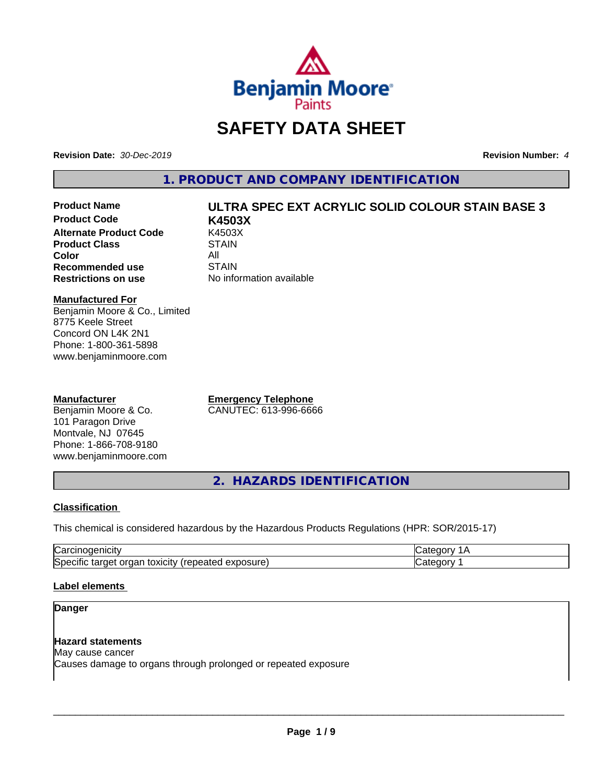

# **SAFETY DATA SHEET**

**Revision Date:** *30-Dec-2019* **Revision Number:** *4*

**1. PRODUCT AND COMPANY IDENTIFICATION**

**Product Code K4503X Alternate Product Code K4503**<br>Product Class STAIN **Product Class Color** All All<br>**Recommended use** STAIN **Recommended use**<br>Restrictions on use

# **Product Name ULTRA SPEC EXT ACRYLIC SOLID COLOUR STAIN BASE 3**

**No information available** 

# **Manufactured For**

Benjamin Moore & Co., Limited 8775 Keele Street Concord ON L4K 2N1 Phone: 1-800-361-5898 www.benjaminmoore.com

# **Manufacturer**

Benjamin Moore & Co. 101 Paragon Drive Montvale, NJ 07645 Phone: 1-866-708-9180 www.benjaminmoore.com

**Emergency Telephone** CANUTEC: 613-996-6666

**2. HAZARDS IDENTIFICATION**

# **Classification**

This chemical is considered hazardous by the Hazardous Products Regulations (HPR: SOR/2015-17)

| r<br>н<br>. 1. 11                                                                                               | - - - |
|-----------------------------------------------------------------------------------------------------------------|-------|
| .<br>lSr<br>exposure<br>.<br>$+0.2101$<br>τοχι<br>orr<br>161<br>⊹ne:<br>tar<br>лнс<br>Baleu<br>៱៲៶៲៶៴<br>$\sim$ | .     |

# **Label elements**

# **Danger**

# **Hazard statements**

May cause cancer Causes damage to organs through prolonged or repeated exposure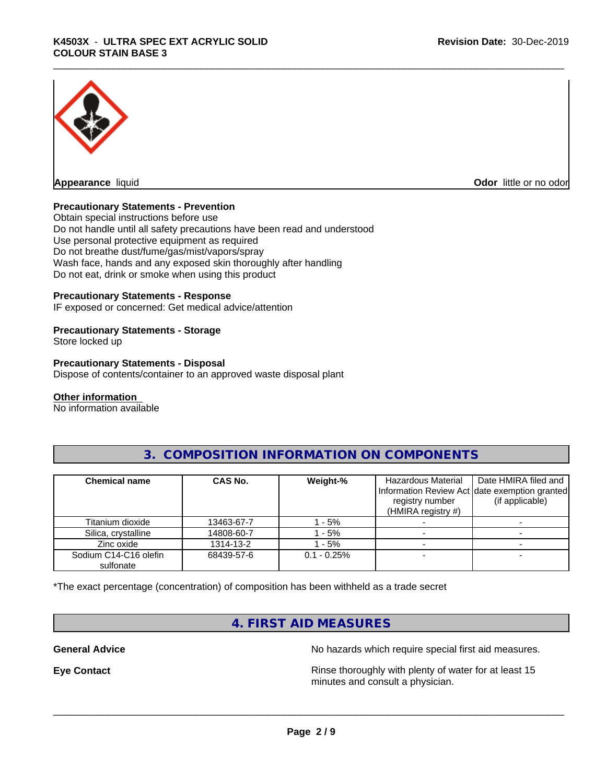

**Odor** little or no odor

# **Precautionary Statements - Prevention**

Obtain special instructions before use Do not handle until all safety precautions have been read and understood Use personal protective equipment as required Do not breathe dust/fume/gas/mist/vapors/spray Wash face, hands and any exposed skin thoroughly after handling Do not eat, drink or smoke when using this product

# **Precautionary Statements - Response**

IF exposed or concerned: Get medical advice/attention

# **Precautionary Statements - Storage**

Store locked up

# **Precautionary Statements - Disposal**

Dispose of contents/container to an approved waste disposal plant

# **Other information**

No information available

| <b>Chemical name</b>               | <b>CAS No.</b> | Weight-%       | Hazardous Material<br>registry number<br>(HMIRA registry $#$ ) | Date HMIRA filed and<br>Information Review Act date exemption granted<br>(if applicable) |
|------------------------------------|----------------|----------------|----------------------------------------------------------------|------------------------------------------------------------------------------------------|
| Titanium dioxide                   | 13463-67-7     | - 5%           |                                                                |                                                                                          |
| Silica, crystalline                | 14808-60-7     | $-5%$          |                                                                |                                                                                          |
| Zinc oxide                         | 1314-13-2      | $-5%$          |                                                                |                                                                                          |
| Sodium C14-C16 olefin<br>sulfonate | 68439-57-6     | $0.1 - 0.25\%$ |                                                                |                                                                                          |

# **3. COMPOSITION INFORMATION ON COMPONENTS**

\*The exact percentage (concentration) of composition has been withheld as a trade secret

# **4. FIRST AID MEASURES**

**General Advice** No hazards which require special first aid measures.

**Eye Contact Exercise 2.1 <b>Exercise 2.1 Rinse** thoroughly with plenty of water for at least 15 minutes and consult a physician.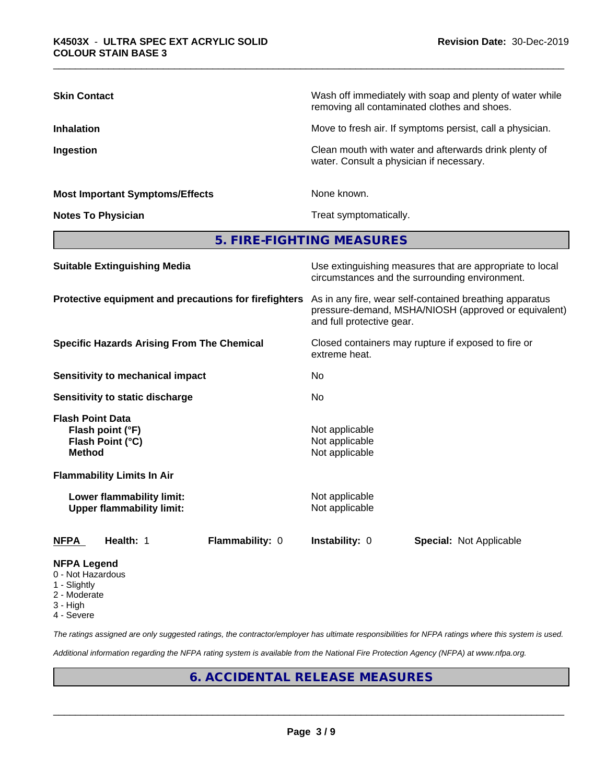| <b>Skin Contact</b>                                                              | Wash off immediately with soap and plenty of water while<br>removing all contaminated clothes and shoes.                                     |  |  |
|----------------------------------------------------------------------------------|----------------------------------------------------------------------------------------------------------------------------------------------|--|--|
| <b>Inhalation</b>                                                                | Move to fresh air. If symptoms persist, call a physician.                                                                                    |  |  |
| Ingestion                                                                        | Clean mouth with water and afterwards drink plenty of<br>water. Consult a physician if necessary.                                            |  |  |
| <b>Most Important Symptoms/Effects</b>                                           | None known.                                                                                                                                  |  |  |
| <b>Notes To Physician</b>                                                        | Treat symptomatically.                                                                                                                       |  |  |
|                                                                                  | 5. FIRE-FIGHTING MEASURES                                                                                                                    |  |  |
| <b>Suitable Extinguishing Media</b>                                              | Use extinguishing measures that are appropriate to local<br>circumstances and the surrounding environment.                                   |  |  |
| Protective equipment and precautions for firefighters                            | As in any fire, wear self-contained breathing apparatus<br>pressure-demand, MSHA/NIOSH (approved or equivalent)<br>and full protective gear. |  |  |
| <b>Specific Hazards Arising From The Chemical</b>                                | Closed containers may rupture if exposed to fire or<br>extreme heat.                                                                         |  |  |
| <b>Sensitivity to mechanical impact</b>                                          | No                                                                                                                                           |  |  |
| Sensitivity to static discharge                                                  | No                                                                                                                                           |  |  |
| <b>Flash Point Data</b><br>Flash point (°F)<br>Flash Point (°C)<br><b>Method</b> | Not applicable<br>Not applicable<br>Not applicable                                                                                           |  |  |
| <b>Flammability Limits In Air</b>                                                |                                                                                                                                              |  |  |
| Lower flammability limit:<br><b>Upper flammability limit:</b>                    | Not applicable<br>Not applicable                                                                                                             |  |  |
| Health: 1<br>Flammability: 0<br><b>NFPA</b>                                      | Instability: 0<br>Special: Not Applicable                                                                                                    |  |  |
| <b>NFPA Legend</b>                                                               |                                                                                                                                              |  |  |

- 0 Not Hazardous
- 1 Slightly
- 2 Moderate
- 3 High
- 4 Severe

*The ratings assigned are only suggested ratings, the contractor/employer has ultimate responsibilities for NFPA ratings where this system is used.*

*Additional information regarding the NFPA rating system is available from the National Fire Protection Agency (NFPA) at www.nfpa.org.*

# **6. ACCIDENTAL RELEASE MEASURES**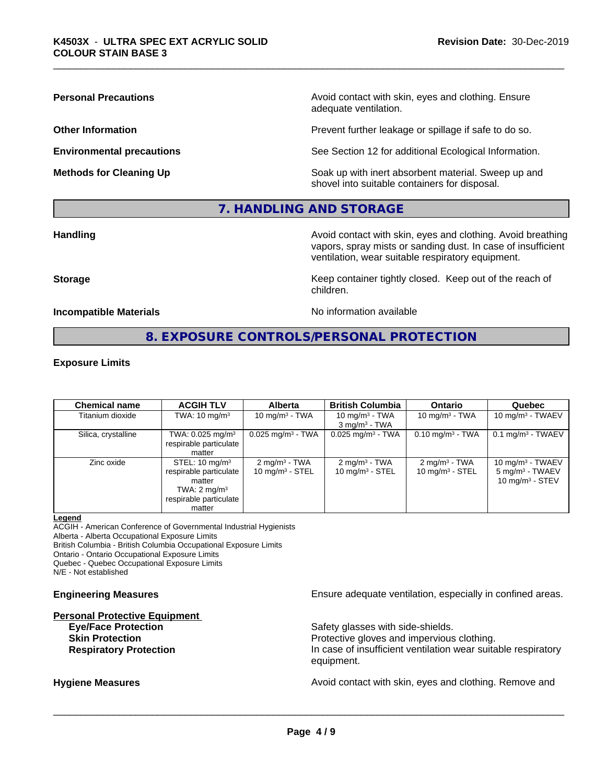**Personal Precautions Precautions** Avoid contact with skin, eyes and clothing. Ensure adequate ventilation.

**Other Information Other Information Prevent further leakage or spillage if safe to do so.** 

**Environmental precautions** See Section 12 for additional Ecological Information.

**Methods for Cleaning Up Example 20 All 20 All 20 All 20 Soak** up with inert absorbent material. Sweep up and shovel into suitable containers for disposal.

# **7. HANDLING AND STORAGE**

**Handling Handling Avoid contact with skin, eyes and clothing. Avoid breathing** vapors, spray mists or sanding dust. In case of insufficient ventilation, wear suitable respiratory equipment.

**Storage Keep container tightly closed. Keep out of the reach of Keep** container tightly closed. Keep out of the reach of children.

**Incompatible Materials No information available** 

# **8. EXPOSURE CONTROLS/PERSONAL PROTECTION**

# **Exposure Limits**

| <b>Chemical name</b> | <b>ACGIH TLV</b>                                                                                                             | <b>Alberta</b>                                         | <b>British Columbia</b>                        | <b>Ontario</b>                                | Quebec                                                                           |
|----------------------|------------------------------------------------------------------------------------------------------------------------------|--------------------------------------------------------|------------------------------------------------|-----------------------------------------------|----------------------------------------------------------------------------------|
| Titanium dioxide     | TWA: $10 \text{ mg/m}^3$                                                                                                     | 10 mg/m $3$ - TWA                                      | 10 mg/m $3$ - TWA<br>$3 \text{ mg/m}^3$ - TWA  | 10 mg/m $3$ - TWA                             | $10 \text{ mg/m}^3$ - TWAEV                                                      |
| Silica, crystalline  | TWA: $0.025$ mg/m <sup>3</sup><br>respirable particulate<br>matter                                                           | $0.025$ mg/m <sup>3</sup> - TWA                        | $0.025$ mg/m <sup>3</sup> - TWA                | $0.10 \text{ mg/m}^3$ - TWA                   | $0.1 \text{ mg/m}^3$ - TWAEV                                                     |
| Zinc oxide           | STEL: $10 \text{ mg/m}^3$<br>respirable particulate<br>matter<br>TWA: $2 \text{ mg/m}^3$<br>respirable particulate<br>matter | $2 \text{ mg/m}^3$ - TWA<br>$10 \text{ mg/m}^3$ - STEL | $2 \text{ mg/m}^3$ - TWA<br>10 mg/m $3 -$ STEL | $2 \text{ mg/m}^3$ - TWA<br>10 $mq/m3$ - STEL | $10 \text{ mg/m}^3$ - TWAEV<br>5 mg/m <sup>3</sup> - TWAEV<br>10 mg/m $3 -$ STEV |

# **Legend**

ACGIH - American Conference of Governmental Industrial Hygienists

Alberta - Alberta Occupational Exposure Limits

British Columbia - British Columbia Occupational Exposure Limits

Ontario - Ontario Occupational Exposure Limits Quebec - Quebec Occupational Exposure Limits

N/E - Not established

# **Personal Protective Equipment**

**Skin Protection Protection Protective gloves and impervious clothing.** 

**Engineering Measures Ensure** Ensure adequate ventilation, especially in confined areas.

**Eye/Face Protection** Safety glasses with side-shields.

**Respiratory Protection In case of insufficient ventilation wear suitable respiratory** equipment.

**Hygiene Measures Avoid contact with skin, eyes and clothing. Remove and Avoid contact with skin, eyes and clothing. Remove and Avoid contact with skin, eyes and clothing. Remove and**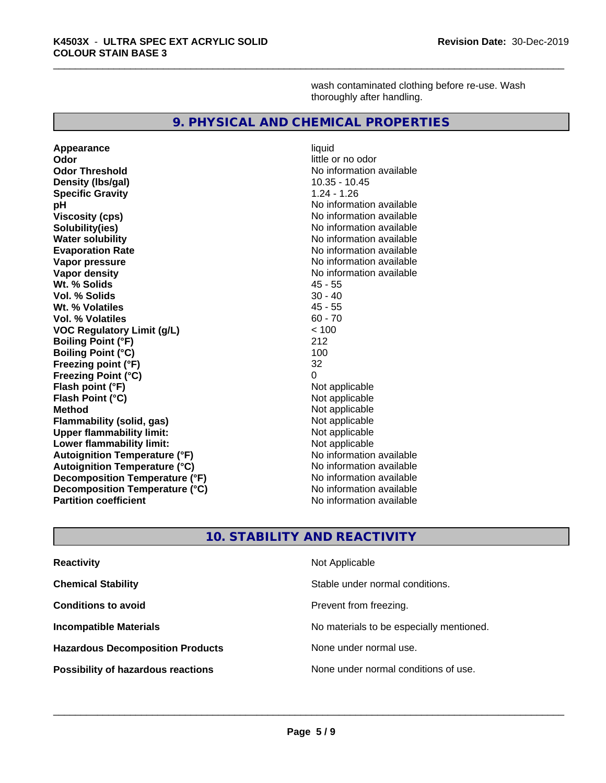wash contaminated clothing before re-use. Wash thoroughly after handling.

# **9. PHYSICAL AND CHEMICAL PROPERTIES**

**Appearance** liquid **Odor** little or no odor **Odor Threshold No information available Density (lbs/gal)** 10.35 - 10.45 **Specific Gravity** 1.24 - 1.26 **pH pH**  $\blacksquare$ **Viscosity (cps)** No information available<br> **Solubility(ies)** No information available **Solubility(ies)**<br> **No information available**<br> **Water solubility**<br> **Water solubility Evaporation Rate No information available No information available Vapor pressure** No information available **Vapor density Vapor** density **Wt. % Solids** 45 - 55 **Vol. % Solids** 30 - 40 **Wt. % Volatiles Vol. % Volatiles** 60 - 70<br> **VOC Requiatory Limit (g/L)** 60 - 70 **VOC** Regulatory Limit (g/L) **Boiling Point (°F)** 212 **Boiling Point (°C)** 100<br>**Freezing point (°F)** 100<br>32 **Freezing point (°F) Freezing Point (°C)** 0 **Flash point (°F)**<br> **Flash Point (°C)**<br> **Flash Point (°C)**<br> **Clash Point (°C) Flash Point (°C) Method** Not applicable **Flammability (solid, gas)** Not applicable<br> **Upper flammability limit:** Not applicable **Upper flammability limit:**<br> **Lower flammability limit:** Not applicable Not applicable **Lower flammability limit: Autoignition Temperature (°F)**<br> **Autoignition Temperature (°C)** No information available **Autoignition Temperature (°C) Decomposition Temperature (°F)** No information available<br> **Decomposition Temperature (°C)** No information available **Decomposition Temperature (°C)**<br>Partition coefficient

**No information available No information available** 

# **10. STABILITY AND REACTIVITY**

| <b>Reactivity</b>                         | Not Applicable                           |
|-------------------------------------------|------------------------------------------|
| <b>Chemical Stability</b>                 | Stable under normal conditions.          |
| <b>Conditions to avoid</b>                | Prevent from freezing.                   |
| <b>Incompatible Materials</b>             | No materials to be especially mentioned. |
| <b>Hazardous Decomposition Products</b>   | None under normal use.                   |
| <b>Possibility of hazardous reactions</b> | None under normal conditions of use.     |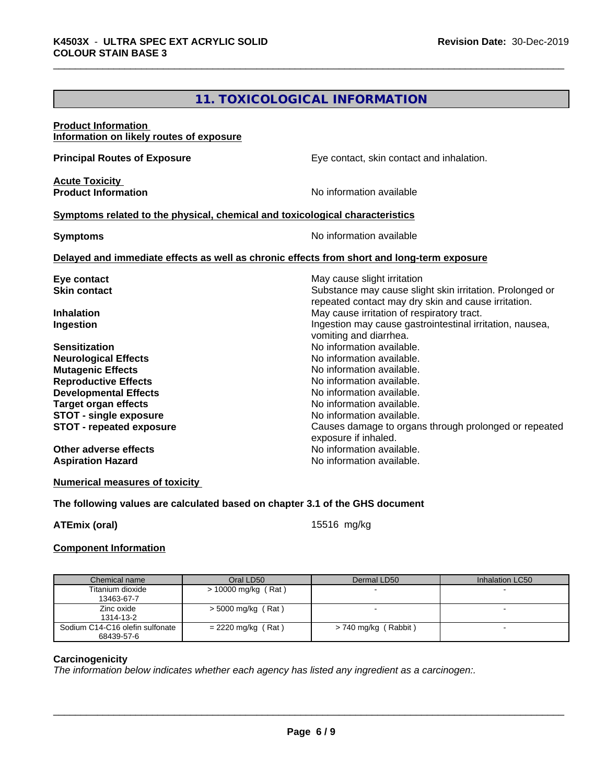# **11. TOXICOLOGICAL INFORMATION**

# **Product Information Information on likely routes of exposure Principal Routes of Exposure Exposure** Eye contact, skin contact and inhalation. **Acute Toxicity Product Information Internation International Contract Contract Contract Contract Contract Contract Contract Contract Contract Contract Contract Contract Contract Contract Contract Contract Contract Contract Contract <u>Symptoms related to the physical, chemical and toxicological characteristics</u> Symptoms** No information available **Delayed and immediate effects as well as chronic effects from short and long-term exposure Eye contact Exercise Solution** May cause slight irritation **Skin contact** Substance may cause slight skin irritation. Prolonged or repeated contact may dry skin and cause irritation. **Inhalation** May cause irritation of respiratory tract. **Ingestion Ingestion Ingestion may cause gastrointestinal irritation, nausea,** vomiting and diarrhea. **Sensitization**<br> **No** information available.<br> **No** information available. **Neurological Effects Mutagenic Effects Mutagenic Effects No information available. Reproductive Effects**<br> **Reproductive Effects**<br> **Developmental Effects**<br> **No information available. Developmental Effects Target organ effects No information available. STOT - single exposure**<br> **STOT - repeated exposure**<br> **STOT - repeated exposure**<br> **STOT - repeated exposure STOT - repeated exposure** Causes damage to organs through prolonged or repeated exposure if inhaled. **Other adverse effects** Noinformation available. **Aspiration Hazard No information available.**

**Numerical measures of toxicity**

# **The following values are calculated based on chapter 3.1 of the GHS document**

**ATEmix (oral)** 15516 mg/kg

# **Component Information**

| Chemical name                                 | Oral LD50             | Dermal LD50          | Inhalation LC50 |
|-----------------------------------------------|-----------------------|----------------------|-----------------|
| Titanium dioxide<br>13463-67-7                | $>$ 10000 mg/kg (Rat) |                      |                 |
| Zinc oxide<br>1314-13-2                       | $>$ 5000 mg/kg (Rat)  |                      |                 |
| Sodium C14-C16 olefin sulfonate<br>68439-57-6 | $= 2220$ mg/kg (Rat)  | > 740 mg/kg (Rabbit) |                 |

# **Carcinogenicity**

*The information below indicateswhether each agency has listed any ingredient as a carcinogen:.*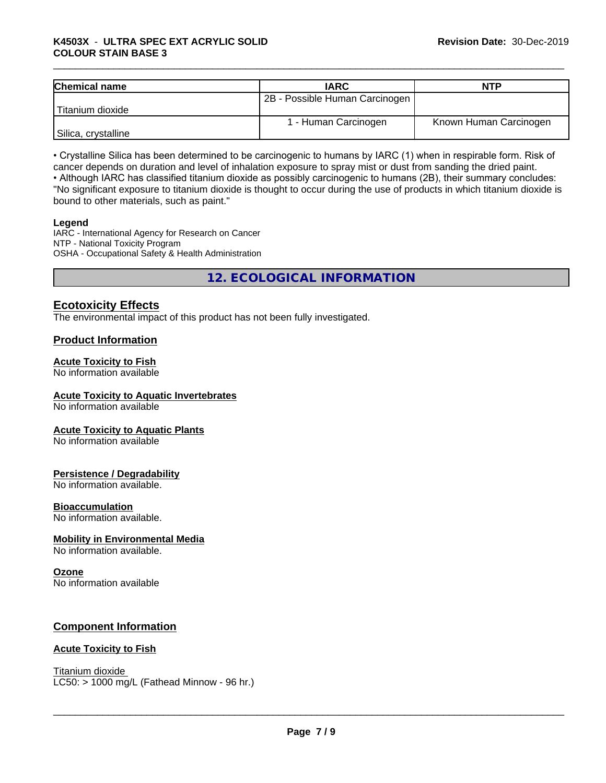# \_\_\_\_\_\_\_\_\_\_\_\_\_\_\_\_\_\_\_\_\_\_\_\_\_\_\_\_\_\_\_\_\_\_\_\_\_\_\_\_\_\_\_\_\_\_\_\_\_\_\_\_\_\_\_\_\_\_\_\_\_\_\_\_\_\_\_\_\_\_\_\_\_\_\_\_\_\_\_\_\_\_\_\_\_\_\_\_\_\_\_\_\_ **K4503X** - **ULTRA SPEC EXT ACRYLIC SOLID COLOUR STAIN BASE 3**

| <b>Chemical name</b> | <b>IARC</b>                    | <b>NTP</b>             |
|----------------------|--------------------------------|------------------------|
|                      | 2B - Possible Human Carcinogen |                        |
| Titanium dioxide     |                                |                        |
|                      | 1 - Human Carcinogen           | Known Human Carcinogen |
| Silica, crystalline  |                                |                        |

• Crystalline Silica has been determined to be carcinogenic to humans by IARC (1) when in respirable form. Risk of cancer depends on duration and level of inhalation exposure to spray mist or dust from sanding the dried paint.• Although IARC has classified titanium dioxide as possibly carcinogenic to humans (2B), their summary concludes:

"No significant exposure to titanium dioxide is thought to occur during the use of products in which titanium dioxide is bound to other materials, such as paint."

# **Legend**

IARC - International Agency for Research on Cancer NTP - National Toxicity Program OSHA - Occupational Safety & Health Administration

**12. ECOLOGICAL INFORMATION**

# **Ecotoxicity Effects**

The environmental impact of this product has not been fully investigated.

# **Product Information**

# **Acute Toxicity to Fish**

No information available

# **Acute Toxicity to Aquatic Invertebrates**

No information available

# **Acute Toxicity to Aquatic Plants**

No information available

# **Persistence / Degradability**

No information available.

# **Bioaccumulation**

No information available.

# **Mobility in Environmental Media**

No information available.

# **Ozone**

No information available

# **Component Information**

# **Acute Toxicity to Fish**

Titanium dioxide  $LC50:$  > 1000 mg/L (Fathead Minnow - 96 hr.)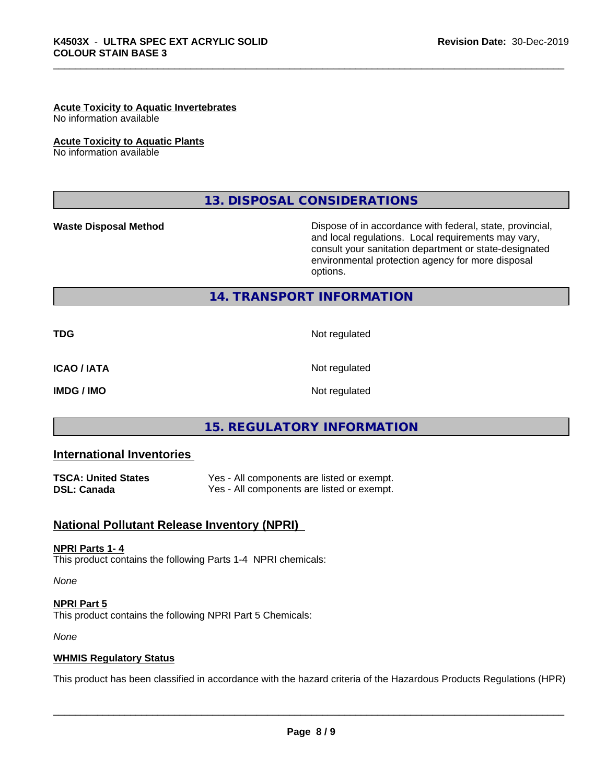# **Acute Toxicity to Aquatic Invertebrates**

No information available

**Acute Toxicity to Aquatic Plants**

No information available

**13. DISPOSAL CONSIDERATIONS**

**Waste Disposal Method Dispose of in accordance with federal, state, provincial,** and local regulations. Local requirements may vary, consult your sanitation department or state-designated environmental protection agency for more disposal options.

# **14. TRANSPORT INFORMATION**

**ICAO / IATA** Not regulated

**TDG** Not regulated

**IMDG / IMO** Not regulated

# **15. REGULATORY INFORMATION**

# **International Inventories**

| <b>TSCA: United States</b> | Yes - All components are listed or exempt. |
|----------------------------|--------------------------------------------|
| <b>DSL: Canada</b>         | Yes - All components are listed or exempt. |

# **National Pollutant Release Inventory (NPRI)**

# **NPRI Parts 1- 4**

This product contains the following Parts 1-4 NPRI chemicals:

*None*

**NPRI Part 5** This product contains the following NPRI Part 5 Chemicals:

*None*

# **WHMIS Regulatory Status**

This product has been classified in accordance with the hazard criteria of the Hazardous Products Regulations (HPR)